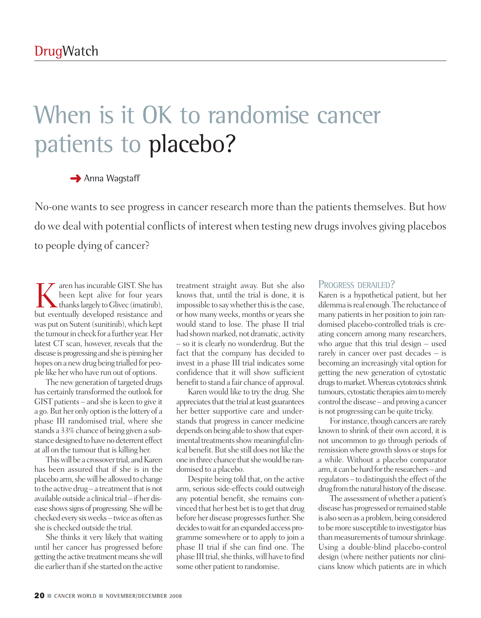# When is it OK to randomise cancer patients to placebo?

### **→** Anna Wagstaff

No-one wants to see progress in cancer research more than the patients themselves. But how do we deal with potential conflicts of interest when testing new drugs involves giving placebos to people dying of cancer?

Karen has incurable GIST. She has<br>thanks largely to Glivec (imatinib),<br>but eventually developed resistance and been kept alive for four years but eventually developed resistance and was put on Sutent (sunitinib), which kept the tumour in check for a further year. Her latest CT scan, however, reveals that the disease is progressing and she is pinning her hopes on a newdrug being trialled for people like herwho have run out of options.

The new generation of targeted drugs has certainly transformed the outlook for GIST patients – and she is keen to give it a go.But her only option isthe lottery of a phase III randomised trial, where she stands a 33% chance of being given a substance designed to have no deterrent effect at all on the tumour that is killing her.

This will be a crossover trial, and Karen has been assured that if she is in the placebo arm, she will be allowed to change to the active drug  $-$  a treatment that is not available outside a clinical trial – if her disease shows signs of progressing. She will be checked every six weeks-twice as often as she is checked outside the trial.

She thinks it very likely that waiting until her cancer has progressed before getting the active treatment means she will die earlier than if she started on the active

treatment straight away. But she also knows that, until the trial is done, it is impossible to say whether this is the case, or how many weeks, months or years she would stand to lose. The phase II trial had shown marked, not dramatic, activity – so it is clearly no wonderdrug. But the fact that the company has decided to invest in a phase III trial indicates some confidence that it will show sufficient benefit to stand a fair chance of approval.

Karen would like to try the drug. She appreciates that the trial at least guarantees her better supportive care and understands that progress in cancer medicine depends on being able to showthat experimental treatments show meaningful clinical benefit. But she still does not like the one in three chance that she would be randomised to a placebo.

Despite being told that, on the active arm, serious side-effects could outweigh any potential benefit, she remains convinced that her best bet is to get that drug before her disease progressesfurther. She decides to wait for an expanded access programme somewhere or to apply to join a phase II trial if she can find one. The phase III trial, she thinks, will have to find some other patient to randomise.

#### PROGRESS DERAILED?

Karen is a hypothetical patient, but her dilemma isreal enough.The reluctance of many patients in her position to join randomised placebo-controlled trials is creating concern among many researchers, who argue that this trial design – used rarely in cancer over past decades – is becoming an increasingly vital option for getting the new generation of cytostatic drugs to market. Whereas cytotoxics shrink tumours, cytostatic therapies aim to merely control the disease – and proving a cancer is not progressing can be quite tricky.

For instance, though cancers are rarely known to shrink of their own accord, it is not uncommon to go through periods of remission where growth slows or stops for a while. Without a placebo comparator arm, it can be hard for the researchers–and regulators – to distinguish the effect of the drug from the natural history of the disease.

The assessment of whether a patient's disease has progressed or remained stable is also seen as a problem, being considered to bemore susceptible to investigator bias than measurements of tumour shrinkage. Using a double-blind placebo-control design (where neither patients nor clinicians know which patients are in which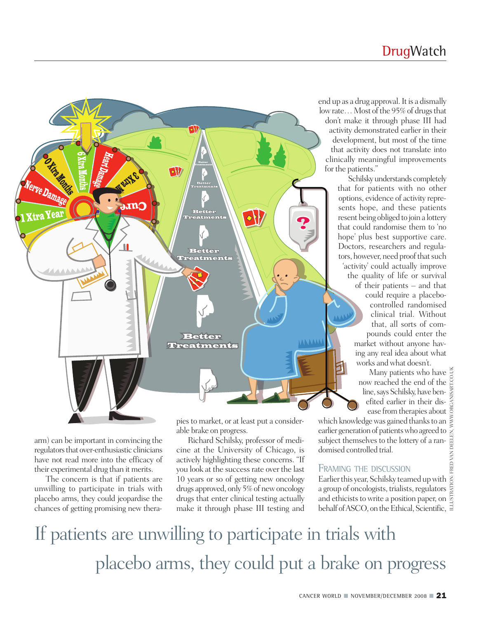

arm) can be important in convincing the regulators that over-enthusiastic clinicians have not read more into the efficacy of their experimental drug than it merits.

The concern is that if patients are unwilling to participate in trials with placebo arms, they could jeopardise the chances of getting promising new therapiesto market, or at least put a considerable brake on progress.

Richard Schilsky, professor of medicine at the University of Chicago, is actively highlighting these concerns. "If you look at the success rate over the last 10 years or so of getting new oncology drugs approved, only 5%of newoncology drugs that enter clinical testing actually make it through phase III testing and end up as a drug approval. It is a dismally low rate... Most of the 95% of drugs that don't make it through phase III had activity demonstrated earlier in their development, but most of the time that activity does not translate into clinically meaningful improvements for the patients."

> Schilskyunderstands completely that for patients with no other options, evidence of activity represents hope, and these patients resent being obliged to join a lottery that could randomise them to 'no hope' plus best supportive care. Doctors, researchers and regulators, however, need proof that such 'activity' could actually improve the quality of life or survival of their patients – and that could require a placebocontrolled randomised clinical trial. Without that, all sorts of compounds could enter the market without anyone having any real idea about what works and what doesn't.

Many patients who have now reached the end of the line, says Schilsky, have benefited earlier in their disease from therapies about

which knowledge was gained thanks to an earlier generation of patients who agreed to subject themselves to the lottery of a randomised controlled trial.

### FRAMING THE DISCUSSION

Earlier this year, Schilsky teamed up with a group of oncologists, trialists, regulators and ethicists to write a position paper, on behalf of ASCO, on the Ethical, Scientific,

## If patients are unwilling to participate in trials with placebo arms, they could put a brake on progress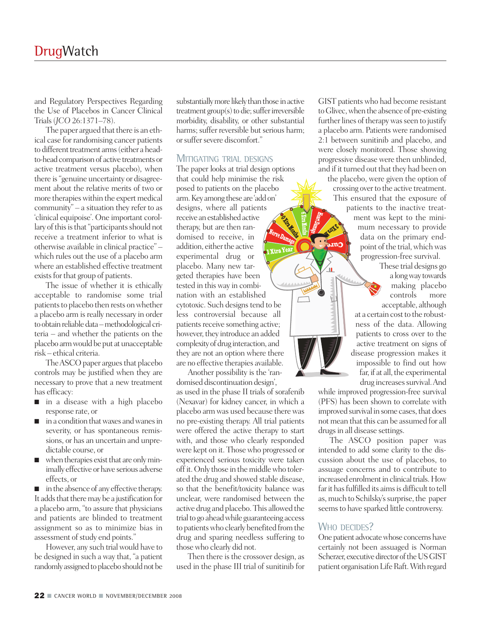and Regulatory Perspectives Regarding the Use of Placebos in Cancer Clinical Trials(*JCO* 26:1371–78).

The paper argued that there is an ethical case for randomising cancer patients to different treatment arms (either a headto-head comparison of active treatments or active treatment versus placebo), when there is"genuine uncertainty or disagreement about the relative merits of two or more therapies within the expert medical community" – a situation they refer to as 'clinical equipoise'. One important corollary of this is that "participants should not receive a treatment inferior to what is otherwise available in clinical practice" – which rules out the use of a placebo arm where an established effective treatment exists for that group of patients.

The issue of whether it is ethically acceptable to randomise some trial patients to placebo then rests on whether a placebo arm is really necessary in order to obtain reliable data – methodological criteria – and whether the patients on the placebo arm would be put at unacceptable risk – ethical criteria.

The ASCO paper argues that placebo controls may be justified when they are necessary to prove that a new treatment has efficacy:

- in a disease with a high placebo response rate, or
- in a condition that waxes and wanes in severity, or has spontaneous remissions, or has an uncertain and unpredictable course, or
- when therapies exist that are only minimally effective or have serious adverse effects, or

■ in the absence of any effective therapy. It adds that there may be a justification for a placebo arm, "to assure that physicians and patients are blinded to treatment assignment so as to minimize bias in assessment of study end points."

However, any such trial would have to be designed in such a way that, "a patient randomly assigned to placebo should not be

substantially more likely than those in active treatment  $group(s)$  to die; suffer irreversible morbidity, disability, or other substantial harms; suffer reversible but serious harm; orsuffersevere discomfort."

#### MITIGATING TRIAL DESIGNS

The paper looks at trial design options that could help minimise the risk posed to patients on the placebo arm.Key among these are 'addon' designs, where all patients receive an established active therapy, but are then randomised to receive, in addition, either the active experimental drug or placebo. Many new targeted therapies have been tested in this way in combination with an established cytotoxic. Such designs tend to be less controversial because all patients receive something active; however, they introduce an added complexity of drug interaction, and they are not an option where there are no effective therapies available.

Another possibility is the 'randomised discontinuation design', as used in the phase II trials of sorafenib (Nexavar) for kidney cancer, in which a placebo arm was used because there was no pre-existing therapy. All trial patients were offered the active therapy to start with, and those who clearly responded were kept on it. Thosewho progressed or experienced serious toxicity were taken offit.Only those in themiddlewho tolerated the drug and showed stable disease, so that the benefit/toxicity balance was unclear, were randomised between the active drug and placebo.This allowed the trial to go ahead while guaranteeing access to patients who clearly benefited from the drug and sparing needless suffering to thosewho clearly did not.

Then there is the crossover design, as used in the phase III trial of sunitinib for GIST patients who had become resistant toGlivec,when the absence of pre-existing further lines of therapy was seen to justify a placebo arm. Patients were randomised 2:1 between sunitinib and placebo, and were closely monitored. Those showing progressive disease were then unblinded, and if it turned out that they had been on the placebo, were given the option of crossing over to the active treatment. This ensured that the exposure of patients to the inactive treatment was kept to the minimum necessary to provide data on the primary endpoint of the trial, which was progression-free survival.

These trial designs go a longway towards making placebo controls more acceptable, although at a certain cost to the robustness of the data. Allowing patients to cross over to the active treatment on signs of disease progression makes it impossible to find out how far, if at all, the experimental drug increases survival. And

while improved progression-free survival (PFS) has been shown to correlate with improved survival in some cases, that does not mean that this can be assumed for all drugs in all disease settings.

The ASCO position paper was intended to add some clarity to the discussion about the use of placebos, to assuage concerns and to contribute to increased enrolment in clinical trials. How far it has fulfilled its aims is difficult to tell as, much to Schilsky's surprise, the paper seems to have sparked little controversy.

#### WHO DECIDES?

One patient advocate whose concerns have certainly not been assuaged is Norman Scherzer, executive director of the US GIST patient organisation Life Raft. With regard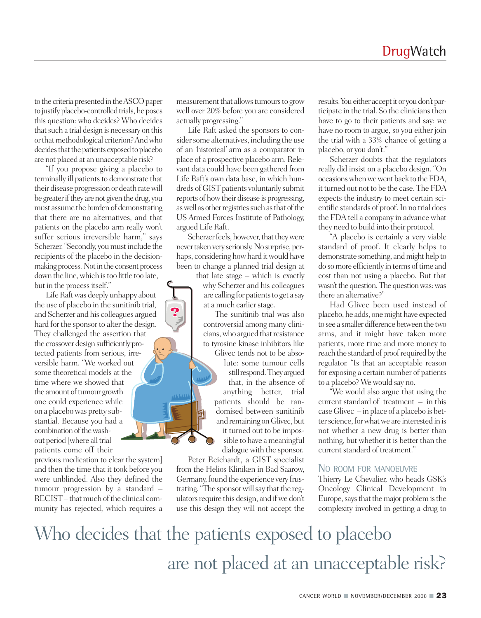to the criteria presented in the ASCO paper to justify placebo-controlled trials,he poses this question: who decides? Who decides that such a trial design is necessary on this or that methodological criterion? And who decides that the patients exposed to placebo are not placed at an unacceptable risk?

"If you propose giving a placebo to terminally ill patients to demonstrate that their disease progression or death ratewill be greater if they are not given the drug, you must assume the burden of demonstrating that there are no alternatives, and that patients on the placebo arm really won't suffer serious irreversible harm," says Scherzer. "Secondly, you must include the recipients of the placebo in the decisionmaking process. Not in the consent process down the line, which is too little too late, but in the processitself."

Life Raft was deeply unhappy about the use of placebo in the sunitinib trial, and Scherzer and his colleagues argued hard for the sponsor to alter the design. They challenged the assertion that the crossover design sufficiently protected patients from serious, irreversible harm. "We worked out some theoretical models at the time where we showed that the amount of tumour growth one could experience while on a placebowas pretty substantial. Because you had a combination of the washout period [where all trial patients come off their

previous medication to clear the system] and then the time that it took before you were unblinded. Also they defined the tumour progression by a standard – RECIST – that much of the clinical community has rejected, which requires a

measurement that allows tumours to grow well over 20% before you are considered actually progressing."

Life Raft asked the sponsors to consider some alternatives, including the use of an 'historical' arm as a comparator in place of a prospective placebo arm. Relevant data could have been gathered from Life Raft's own data base, in which hundreds of GIST patients voluntarily submit reports of howtheir disease is progressing, as well as other registries such as that of the US Armed Forces Institute of Pathology, argued Life Raft.

Scherzer feels, however, that they were never taken very seriously. No surprise, perhaps, considering how hard it would have been to change a planned trial design at

 $\overline{P}$ 

that late stage – which is exactly why Scherzer and his colleagues are calling for patients to get a say at a much earlier stage.

The sunitinib trial was also controversial among many clinicians, who argued that resistance to tyrosine kinase inhibitors like

Glivec tends not to be absolute: some tumour cells still respond. They argued that, in the absence of anything better, trial patients should be randomised between sunitinib and remaining on Glivec, but it turned out to be impossible to have a meaningful dialogue with the sponsor.

Peter Reichardt, a GIST specialist from the Helios Kliniken in Bad Saarow, Germany, found the experience very frustrating. "The sponsor will say that the regulators require this design, and if we don't use this design they will not accept the

results. You either accept it or you don't participate in the trial. So the clinicians then have to go to their patients and say: we have no room to argue, so you either join the trial with a 33% chance of getting a placebo, or you don't."

Scherzer doubts that the regulators really did insist on a placebo design. "On occasions when we went back to the FDA, it turned out not to be the case. The FDA expects the industry to meet certain scientific standards of proof.In no trial does the FDA tell a company in advance what they need to build into their protocol.

"A placebo is certainly a very viable standard of proof. It clearly helps to demonstrate something, and might help to do so more efficiently in terms of time and cost than not using a placebo. But that wasn't the question. The question was: was there an alternative?"

Had Glivec been used instead of placebo, he adds, one might have expected to see a smaller difference between the two arms, and it might have taken more patients, more time and more money to reach the standard of proof required by the regulator. "Is that an acceptable reason for exposing a certain number of patients to a placebo? Wewould say no.

"We would also argue that using the current standard of treatment – in this caseGlivec – in place of a placebo is better science, for what we are interested in is not whether a new drug is better than nothing, but whether it is better than the current standard of treatment."

#### NO ROOM FOR MANOEUVRE

Thierry Le Chevalier, who heads GSK's Oncology Clinical Development in Europe, says that the major problem is the complexity involved in getting a drug to

## Who decides that the patients exposed to placebo are not placed at an unacceptable risk?